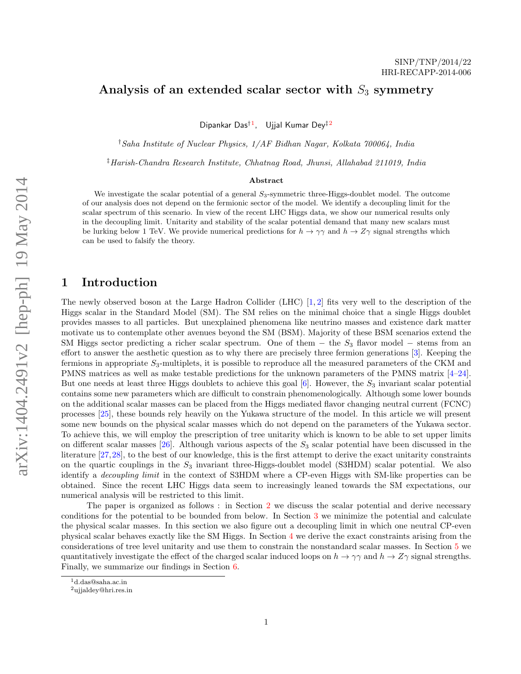#### Analysis of an extended scalar sector with  $S_3$  symmetry

Dipankar Das<sup>†1</sup>, Ujjal Kumar Dey<sup>‡2</sup>

†Saha Institute of Nuclear Physics, 1/AF Bidhan Nagar, Kolkata 700064, India

‡Harish-Chandra Research Institute, Chhatnag Road, Jhunsi, Allahabad 211019, India

#### Abstract

We investigate the scalar potential of a general  $S_3$ -symmetric three-Higgs-doublet model. The outcome of our analysis does not depend on the fermionic sector of the model. We identify a decoupling limit for the scalar spectrum of this scenario. In view of the recent LHC Higgs data, we show our numerical results only in the decoupling limit. Unitarity and stability of the scalar potential demand that many new scalars must be lurking below 1 TeV. We provide numerical predictions for  $h \to \gamma\gamma$  and  $h \to Z\gamma$  signal strengths which can be used to falsify the theory.

#### 1 Introduction

The newly observed boson at the Large Hadron Collider (LHC) [1, 2] fits very well to the description of the Higgs scalar in the Standard Model (SM). The SM relies on the minimal choice that a single Higgs doublet provides masses to all particles. But unexplained phenomena like neutrino masses and existence dark matter motivate us to contemplate other avenues beyond the SM (BSM). Majority of these BSM scenarios extend the SM Higgs sector predicting a richer scalar spectrum. One of them  $-$  the  $S_3$  flavor model  $-$  stems from an effort to answer the aesthetic question as to why there are precisely three fermion generations [3]. Keeping the fermions in appropriate  $S_3$ -multiplets, it is possible to reproduce all the measured parameters of the CKM and PMNS matrices as well as make testable predictions for the unknown parameters of the PMNS matrix [4–24]. But one needs at least three Higgs doublets to achieve this goal  $[6]$ . However, the  $S_3$  invariant scalar potential contains some new parameters which are difficult to constrain phenomenologically. Although some lower bounds on the additional scalar masses can be placed from the Higgs mediated flavor changing neutral current (FCNC) processes [25], these bounds rely heavily on the Yukawa structure of the model. In this article we will present some new bounds on the physical scalar masses which do not depend on the parameters of the Yukawa sector. To achieve this, we will employ the prescription of tree unitarity which is known to be able to set upper limits on different scalar masses  $[26]$ . Although various aspects of the  $S_3$  scalar potential have been discussed in the literature [27,28], to the best of our knowledge, this is the first attempt to derive the exact unitarity constraints on the quartic couplings in the  $S_3$  invariant three-Higgs-doublet model (S3HDM) scalar potential. We also identify a decoupling limit in the context of S3HDM where a CP-even Higgs with SM-like properties can be obtained. Since the recent LHC Higgs data seem to increasingly leaned towards the SM expectations, our numerical analysis will be restricted to this limit.

The paper is organized as follows : in Section 2 we discuss the scalar potential and derive necessary conditions for the potential to be bounded from below. In Section 3 we minimize the potential and calculate the physical scalar masses. In this section we also figure out a decoupling limit in which one neutral CP-even physical scalar behaves exactly like the SM Higgs. In Section 4 we derive the exact constraints arising from the considerations of tree level unitarity and use them to constrain the nonstandard scalar masses. In Section 5 we quantitatively investigate the effect of the charged scalar induced loops on  $h \to \gamma\gamma$  and  $h \to Z\gamma$  signal strengths. Finally, we summarize our findings in Section 6.

<sup>1</sup>d.das@saha.ac.in

<sup>2</sup>ujjaldey@hri.res.in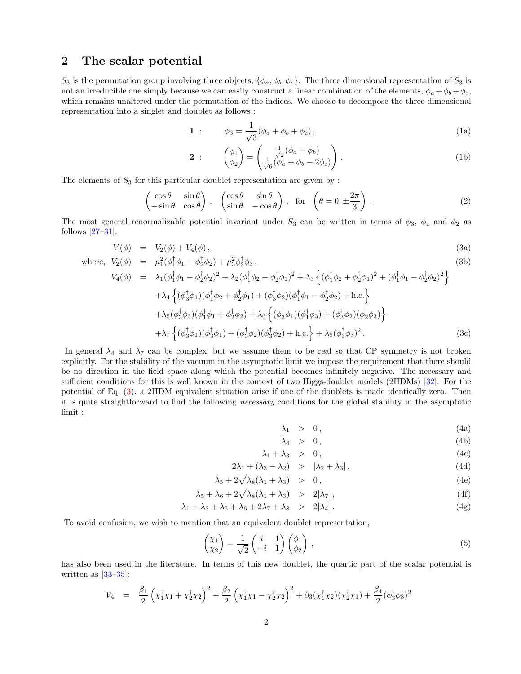## 2 The scalar potential

 $S_3$  is the permutation group involving three objects,  $\{\phi_a, \phi_b, \phi_c\}$ . The three dimensional representation of  $S_3$  is not an irreducible one simply because we can easily construct a linear combination of the elements,  $\phi_a + \phi_b + \phi_c$ , which remains unaltered under the permutation of the indices. We choose to decompose the three dimensional representation into a singlet and doublet as follows :

$$
1 : \phi_3 = \frac{1}{\sqrt{3}} (\phi_a + \phi_b + \phi_c), \qquad (1a)
$$

$$
\mathbf{2} : \begin{pmatrix} \phi_1 \\ \phi_2 \end{pmatrix} = \begin{pmatrix} \frac{1}{\sqrt{2}} (\phi_a - \phi_b) \\ \frac{1}{\sqrt{6}} (\phi_a + \phi_b - 2\phi_c) \end{pmatrix} . \tag{1b}
$$

The elements of  $S_3$  for this particular doublet representation are given by :

$$
\begin{pmatrix}\n\cos \theta & \sin \theta \\
-\sin \theta & \cos \theta\n\end{pmatrix}, \begin{pmatrix}\n\cos \theta & \sin \theta \\
\sin \theta & -\cos \theta\n\end{pmatrix}, \text{ for } \left(\theta = 0, \pm \frac{2\pi}{3}\right).
$$
\n(2)

The most general renormalizable potential invariant under  $S_3$  can be written in terms of  $\phi_3$ ,  $\phi_1$  and  $\phi_2$  as follows  $[27-31]$ :

$$
V(\phi) = V_2(\phi) + V_4(\phi), \tag{3a}
$$

where, 
$$
V_2(\phi) = \mu_1^2(\phi_1^{\dagger}\phi_1 + \phi_2^{\dagger}\phi_2) + \mu_3^2\phi_3^{\dagger}\phi_3
$$
,  
\n
$$
V_4(\phi) = \lambda_1(\phi_1^{\dagger}\phi_1 + \phi_2^{\dagger}\phi_2)^2 + \lambda_2(\phi_1^{\dagger}\phi_2 - \phi_2^{\dagger}\phi_1)^2 + \lambda_3\left\{(\phi_1^{\dagger}\phi_2 + \phi_2^{\dagger}\phi_1)^2 + (\phi_1^{\dagger}\phi_1 - \phi_2^{\dagger}\phi_2)^2\right\}
$$
\n(3b)

$$
+ \lambda_4 \left\{ (\phi_3^{\dagger} \phi_1)(\phi_1^{\dagger} \phi_2 + \phi_2^{\dagger} \phi_1) + (\phi_3^{\dagger} \phi_2)(\phi_1^{\dagger} \phi_1 - \phi_2^{\dagger} \phi_2) + \text{h.c.} \right\} + \lambda_5 (\phi_3^{\dagger} \phi_3)(\phi_1^{\dagger} \phi_1 + \phi_2^{\dagger} \phi_2) + \lambda_6 \left\{ (\phi_3^{\dagger} \phi_1)(\phi_1^{\dagger} \phi_3) + (\phi_3^{\dagger} \phi_2)(\phi_2^{\dagger} \phi_3) \right\} + \lambda_7 \left\{ (\phi_3^{\dagger} \phi_1)(\phi_3^{\dagger} \phi_1) + (\phi_3^{\dagger} \phi_2)(\phi_3^{\dagger} \phi_2) + \text{h.c.} \right\} + \lambda_8 (\phi_3^{\dagger} \phi_3)^2.
$$
 (3c)

In general  $\lambda_4$  and  $\lambda_7$  can be complex, but we assume them to be real so that CP symmetry is not broken explicitly. For the stability of the vacuum in the asymptotic limit we impose the requirement that there should be no direction in the field space along which the potential becomes infinitely negative. The necessary and sufficient conditions for this is well known in the context of two Higgs-doublet models (2HDMs) [32]. For the potential of Eq. (3), a 2HDM equivalent situation arise if one of the doublets is made identically zero. Then it is quite straightforward to find the following necessary conditions for the global stability in the asymptotic limit :

$$
\lambda_1 > 0, \qquad (4a)
$$

$$
\lambda_8 > 0, \qquad (4b)
$$

$$
\lambda_1 + \lambda_3 > 0, \tag{4c}
$$

$$
2\lambda_1 + (\lambda_3 - \lambda_2) > |\lambda_2 + \lambda_3|,
$$
\n(4d)

$$
\lambda_5 + 2\sqrt{\lambda_8(\lambda_1 + \lambda_3)} > 0, \qquad (4e)
$$

$$
\lambda_5 + \lambda_6 + 2\sqrt{\lambda_8(\lambda_1 + \lambda_3)} > 2|\lambda_7|, \tag{4f}
$$

$$
\lambda_1 + \lambda_3 + \lambda_5 + \lambda_6 + 2\lambda_7 + \lambda_8 > 2|\lambda_4|.
$$
 (4g)

To avoid confusion, we wish to mention that an equivalent doublet representation,

$$
\begin{pmatrix} \chi_1 \\ \chi_2 \end{pmatrix} = \frac{1}{\sqrt{2}} \begin{pmatrix} i & 1 \\ -i & 1 \end{pmatrix} \begin{pmatrix} \phi_1 \\ \phi_2 \end{pmatrix}, \tag{5}
$$

has also been used in the literature. In terms of this new doublet, the quartic part of the scalar potential is written as  $[33-35]$ :

$$
V_4 = \frac{\beta_1}{2} \left( \chi_1^{\dagger} \chi_1 + \chi_2^{\dagger} \chi_2 \right)^2 + \frac{\beta_2}{2} \left( \chi_1^{\dagger} \chi_1 - \chi_2^{\dagger} \chi_2 \right)^2 + \beta_3 (\chi_1^{\dagger} \chi_2) (\chi_2^{\dagger} \chi_1) + \frac{\beta_4}{2} (\phi_3^{\dagger} \phi_3)^2
$$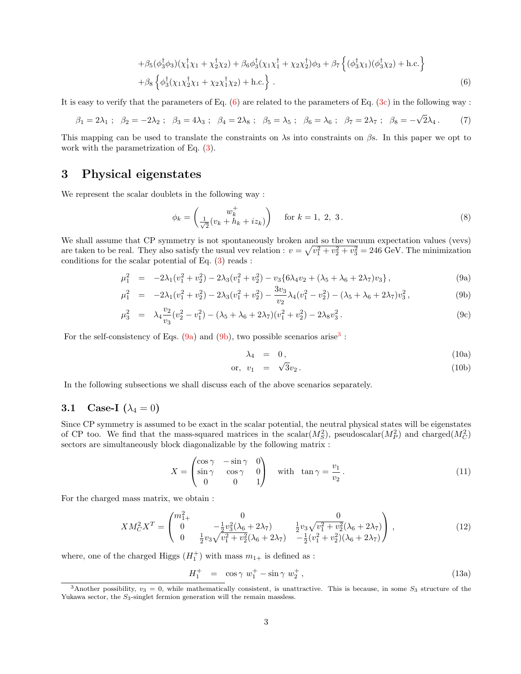$$
+\beta_5(\phi_3^{\dagger}\phi_3)(\chi_1^{\dagger}\chi_1+\chi_2^{\dagger}\chi_2)+\beta_6\phi_3^{\dagger}(\chi_1\chi_1^{\dagger}+\chi_2\chi_2^{\dagger})\phi_3+\beta_7\left\{(\phi_3^{\dagger}\chi_1)(\phi_3^{\dagger}\chi_2)+h.c.\right\}+\beta_8\left\{\phi_3^{\dagger}(\chi_1\chi_2^{\dagger}\chi_1+\chi_2\chi_1^{\dagger}\chi_2)+h.c.\right\}.
$$
(6)

It is easy to verify that the parameters of Eq.  $(6)$  are related to the parameters of Eq.  $(3c)$  in the following way :

$$
\beta_1 = 2\lambda_1 ; \ \beta_2 = -2\lambda_2 ; \ \beta_3 = 4\lambda_3 ; \ \beta_4 = 2\lambda_8 ; \ \beta_5 = \lambda_5 ; \ \beta_6 = \lambda_6 ; \ \beta_7 = 2\lambda_7 ; \ \beta_8 = -\sqrt{2}\lambda_4. \tag{7}
$$

This mapping can be used to translate the constraints on  $\lambda$ s into constraints on  $\beta$ s. In this paper we opt to work with the parametrization of Eq. (3).

## 3 Physical eigenstates

We represent the scalar doublets in the following way :

$$
\phi_k = \begin{pmatrix} w_k^+ \\ \frac{1}{\sqrt{2}}(v_k + h_k + iz_k) \end{pmatrix} \quad \text{for } k = 1, 2, 3.
$$
 (8)

We shall assume that CP symmetry is not spontaneously broken and so the vacuum expectation values (vevs) are taken to be real. They also satisfy the usual vev relation :  $v = \sqrt{v_1^2 + v_2^2 + v_3^2} = 246 \text{ GeV}$ . The minimization conditions for the scalar potential of Eq.  $(3)$  reads :

$$
\mu_1^2 = -2\lambda_1(v_1^2 + v_2^2) - 2\lambda_3(v_1^2 + v_2^2) - v_3\{6\lambda_4v_2 + (\lambda_5 + \lambda_6 + 2\lambda_7)v_3\},\tag{9a}
$$

$$
\mu_1^2 = -2\lambda_1(v_1^2 + v_2^2) - 2\lambda_3(v_1^2 + v_2^2) - \frac{3v_3}{v_2}\lambda_4(v_1^2 - v_2^2) - (\lambda_5 + \lambda_6 + 2\lambda_7)v_3^2,
$$
\n(9b)

$$
\mu_3^2 = \lambda_4 \frac{v_2}{v_3} (v_2^2 - v_1^2) - (\lambda_5 + \lambda_6 + 2\lambda_7)(v_1^2 + v_2^2) - 2\lambda_8 v_3^2.
$$
\n(9c)

For the self-consistency of Eqs.  $(9a)$  and  $(9b)$ , two possible scenarios arise<sup>3</sup>:

$$
\lambda_4 = 0, \qquad (10a)
$$

$$
\text{or, } v_1 = \sqrt{3}v_2. \tag{10b}
$$

In the following subsections we shall discuss each of the above scenarios separately.

#### 3.1 Case-I  $(\lambda_4 = 0)$

Since CP symmetry is assumed to be exact in the scalar potential, the neutral physical states will be eigenstates of CP too. We find that the mass-squared matrices in the scalar( $M_S^2$ ), pseudoscalar( $M_P^2$ ) and charged( $M_C^2$ ) sectors are simultaneously block diagonalizable by the following matrix :

$$
X = \begin{pmatrix} \cos \gamma & -\sin \gamma & 0 \\ \sin \gamma & \cos \gamma & 0 \\ 0 & 0 & 1 \end{pmatrix} \quad \text{with} \quad \tan \gamma = \frac{v_1}{v_2} \,. \tag{11}
$$

For the charged mass matrix, we obtain :

$$
XM_C^2 X^T = \begin{pmatrix} m_{1+}^2 & 0 & 0\\ 0 & -\frac{1}{2}v_3^2(\lambda_6 + 2\lambda_7) & \frac{1}{2}v_3\sqrt{v_1^2 + v_2^2}(\lambda_6 + 2\lambda_7)\\ 0 & \frac{1}{2}v_3\sqrt{v_1^2 + v_2^2}(\lambda_6 + 2\lambda_7) & -\frac{1}{2}(v_1^2 + v_2^2)(\lambda_6 + 2\lambda_7) \end{pmatrix},
$$
(12)

where, one of the charged Higgs  $({\cal H}_1^+)$  with mass  $m_{1+}$  is defined as :

$$
H_1^+ = \cos \gamma \ w_1^+ - \sin \gamma \ w_2^+, \tag{13a}
$$

<sup>&</sup>lt;sup>3</sup>Another possibility,  $v_3 = 0$ , while mathematically consistent, is unattractive. This is because, in some  $S_3$  structure of the Yukawa sector, the  $S_3$ -singlet fermion generation will the remain massless.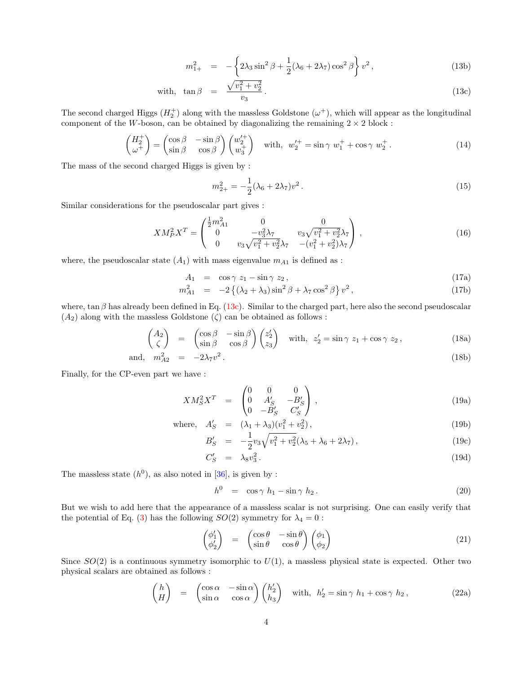$$
m_{1+}^2 = -\left\{2\lambda_3 \sin^2 \beta + \frac{1}{2}(\lambda_6 + 2\lambda_7)\cos^2 \beta\right\} v^2, \tag{13b}
$$

with, 
$$
\tan \beta = \frac{\sqrt{v_1^2 + v_2^2}}{v_3}.
$$
 (13c)

The second charged Higgs  $(H_2^+)$  along with the massless Goldstone  $(\omega^+)$ , which will appear as the longitudinal component of the W-boson, can be obtained by diagonalizing the remaining  $2 \times 2$  block:

$$
\begin{pmatrix} H_2^+ \\ \omega^+ \end{pmatrix} = \begin{pmatrix} \cos \beta & -\sin \beta \\ \sin \beta & \cos \beta \end{pmatrix} \begin{pmatrix} w_2^{\prime +} \\ w_3^+ \end{pmatrix} \quad \text{with,} \ \ w_2^{\prime +} = \sin \gamma \ w_1^+ + \cos \gamma \ w_2^+ \,. \tag{14}
$$

The mass of the second charged Higgs is given by :

$$
m_{2+}^2 = -\frac{1}{2}(\lambda_6 + 2\lambda_7)v^2.
$$
 (15)

Similar considerations for the pseudoscalar part gives :

$$
XM_P^2 X^T = \begin{pmatrix} \frac{1}{2}m_{A1}^2 & 0 & 0\\ 0 & -v_3^2 \lambda_7 & v_3 \sqrt{v_1^2 + v_2^2} \lambda_7\\ 0 & v_3 \sqrt{v_1^2 + v_2^2} \lambda_7 & -(v_1^2 + v_2^2) \lambda_7 \end{pmatrix},
$$
(16)

where, the pseudoscalar state  $(A_1)$  with mass eigenvalue  $m_{A_1}$  is defined as :

$$
A_1 = \cos \gamma z_1 - \sin \gamma z_2, \qquad (17a)
$$

$$
m_{A1}^2 = -2\left\{ (\lambda_2 + \lambda_3) \sin^2 \beta + \lambda_7 \cos^2 \beta \right\} v^2, \tag{17b}
$$

where,  $\tan \beta$  has already been defined in Eq. (13c). Similar to the charged part, here also the second pseudoscalar  $(A_2)$  along with the massless Goldstone  $(\zeta)$  can be obtained as follows :

$$
\begin{pmatrix} A_2 \\ \zeta \end{pmatrix} = \begin{pmatrix} \cos \beta & -\sin \beta \\ \sin \beta & \cos \beta \end{pmatrix} \begin{pmatrix} z_2' \\ z_3 \end{pmatrix} \text{ with, } z_2' = \sin \gamma \ z_1 + \cos \gamma \ z_2, \tag{18a}
$$

and, 
$$
m_{A2}^2 = -2\lambda_7 v^2
$$
. (18b)

Finally, for the CP-even part we have :

$$
XM_S^2X^T = \begin{pmatrix} 0 & 0 & 0 \\ 0 & A'_S & -B'_S \\ 0 & -B'_S & C'_S \end{pmatrix}, \tag{19a}
$$

where, 
$$
A'_S = (\lambda_1 + \lambda_3)(v_1^2 + v_2^2)
$$
, (19b)

$$
B'_{S} = -\frac{1}{2}v_{3}\sqrt{v_{1}^{2} + v_{2}^{2}}(\lambda_{5} + \lambda_{6} + 2\lambda_{7}),
$$
\n
$$
C'_{S} = \lambda_{8}v_{3}^{2}.
$$
\n(19a)

$$
C'_S = \lambda_8 v_3^2. \tag{19d}
$$

The massless state  $(h^0)$ , as also noted in [36], is given by :

$$
h^0 = \cos \gamma h_1 - \sin \gamma h_2. \tag{20}
$$

But we wish to add here that the appearance of a massless scalar is not surprising. One can easily verify that the potential of Eq. (3) has the following  $SO(2)$  symmetry for  $\lambda_4 = 0$ :

$$
\begin{pmatrix} \phi_1' \\ \phi_2' \end{pmatrix} = \begin{pmatrix} \cos \theta & -\sin \theta \\ \sin \theta & \cos \theta \end{pmatrix} \begin{pmatrix} \phi_1 \\ \phi_2 \end{pmatrix} \tag{21}
$$

Since  $SO(2)$  is a continuous symmetry isomorphic to  $U(1)$ , a massless physical state is expected. Other two physical scalars are obtained as follows :

$$
\begin{pmatrix} h \\ H \end{pmatrix} = \begin{pmatrix} \cos \alpha & -\sin \alpha \\ \sin \alpha & \cos \alpha \end{pmatrix} \begin{pmatrix} h_2' \\ h_3 \end{pmatrix} \text{ with, } h_2' = \sin \gamma h_1 + \cos \gamma h_2, \qquad (22a)
$$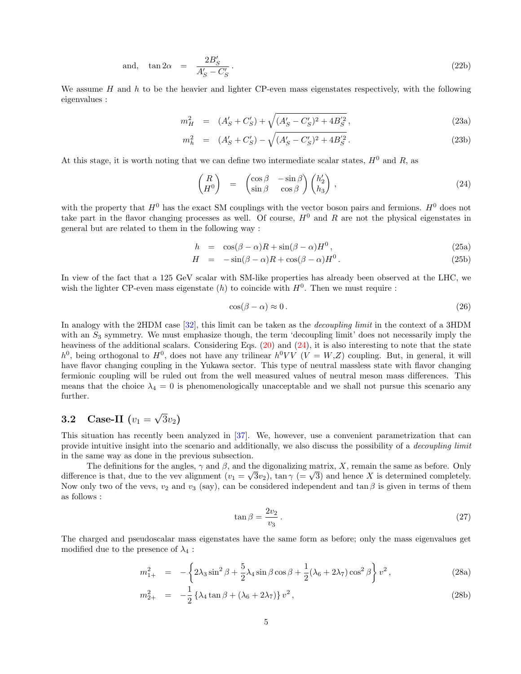and, 
$$
\tan 2\alpha = \frac{2B_S'}{A_S' - C_S'}
$$
. (22b)

We assume  $H$  and  $h$  to be the heavier and lighter CP-even mass eigenstates respectively, with the following eigenvalues :

$$
m_H^2 = (A'_S + C'_S) + \sqrt{(A'_S - C'_S)^2 + 4B'_S} ,
$$
\n(23a)

$$
m_h^2 = (A'_S + C'_S) - \sqrt{(A'_S - C'_S)^2 + 4B'_S}.
$$
\n(23b)

At this stage, it is worth noting that we can define two intermediate scalar states,  $H^0$  and R, as

$$
\begin{pmatrix}\nR \\
H^0\n\end{pmatrix} = \begin{pmatrix}\n\cos \beta & -\sin \beta \\
\sin \beta & \cos \beta\n\end{pmatrix}\n\begin{pmatrix}\nh'_2 \\
h_3\n\end{pmatrix},
$$
\n(24)

with the property that  $H^0$  has the exact SM couplings with the vector boson pairs and fermions.  $H^0$  does not take part in the flavor changing processes as well. Of course,  $H^0$  and R are not the physical eigenstates in general but are related to them in the following way :

$$
h = \cos(\beta - \alpha)R + \sin(\beta - \alpha)H^{0}, \qquad (25a)
$$

$$
H = -\sin(\beta - \alpha)R + \cos(\beta - \alpha)H^{0}.
$$
 (25b)

In view of the fact that a 125 GeV scalar with SM-like properties has already been observed at the LHC, we wish the lighter CP-even mass eigenstate  $(h)$  to coincide with  $H^0$ . Then we must require :

$$
\cos(\beta - \alpha) \approx 0. \tag{26}
$$

In analogy with the 2HDM case [32], this limit can be taken as the *decoupling limit* in the context of a 3HDM with an  $S_3$  symmetry. We must emphasize though, the term 'decoupling limit' does not necessarily imply the heaviness of the additional scalars. Considering Eqs.  $(20)$  and  $(24)$ , it is also interesting to note that the state  $h^0$ , being orthogonal to  $H^0$ , does not have any trilinear  $h^0VV$  ( $V = W,Z$ ) coupling. But, in general, it will have flavor changing coupling in the Yukawa sector. This type of neutral massless state with flavor changing fermionic coupling will be ruled out from the well measured values of neutral meson mass differences. This means that the choice  $\lambda_4 = 0$  is phenomenologically unacceptable and we shall not pursue this scenario any further.

# **3.2** Case-II  $(v_1 = \sqrt{3}v_2)$

This situation has recently been analyzed in [37]. We, however, use a convenient parametrization that can provide intuitive insight into the scenario and additionally, we also discuss the possibility of a decoupling limit in the same way as done in the previous subsection.

The definitions for the angles,  $\gamma$  and  $\beta$ , and the digonalizing matrix, X, remain the same as before. Only difference is that, due to the vev alignment  $(v_1 = \sqrt{3}v_2)$ ,  $\tan \gamma (= \sqrt{3})$  and hence X is determined completely. Now only two of the vevs,  $v_2$  and  $v_3$  (say), can be considered independent and tan  $\beta$  is given in terms of them as follows :

$$
\tan \beta = \frac{2v_2}{v_3} \,. \tag{27}
$$

The charged and pseudoscalar mass eigenstates have the same form as before; only the mass eigenvalues get modified due to the presence of  $\lambda_4$ :

$$
m_{1+}^2 = -\left\{2\lambda_3 \sin^2 \beta + \frac{5}{2}\lambda_4 \sin \beta \cos \beta + \frac{1}{2}(\lambda_6 + 2\lambda_7)\cos^2 \beta\right\} v^2,
$$
\n(28a)

$$
m_{2+}^2 = -\frac{1}{2} \left\{ \lambda_4 \tan \beta + (\lambda_6 + 2\lambda_7) \right\} v^2, \tag{28b}
$$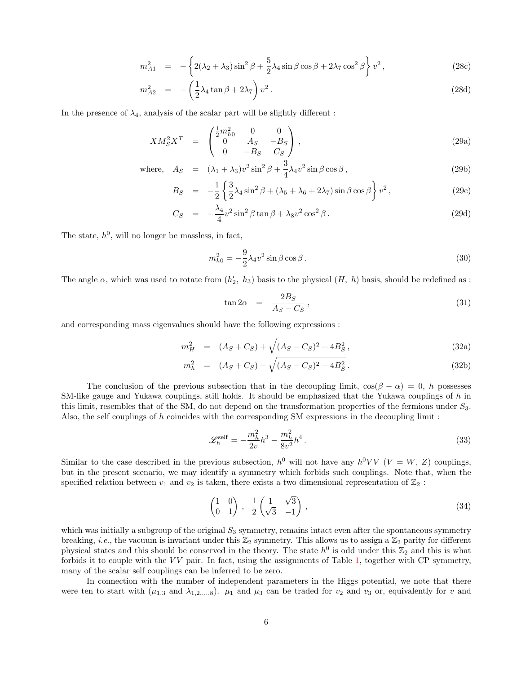$$
m_{A1}^2 = -\left\{2(\lambda_2 + \lambda_3)\sin^2\beta + \frac{5}{2}\lambda_4\sin\beta\cos\beta + 2\lambda_7\cos^2\beta\right\}v^2,
$$
\n(28c)

$$
m_{A2}^2 = -\left(\frac{1}{2}\lambda_4 \tan \beta + 2\lambda_7\right)v^2.
$$
 (28d)

In the presence of  $\lambda_4$ , analysis of the scalar part will be slightly different:

$$
XM_S^2X^T = \begin{pmatrix} \frac{1}{2}m_{h0}^2 & 0 & 0\\ 0 & A_S & -B_S\\ 0 & -B_S & C_S \end{pmatrix},
$$
 (29a)

where, 
$$
A_S = (\lambda_1 + \lambda_3)v^2 \sin^2 \beta + \frac{3}{4}\lambda_4 v^2 \sin \beta \cos \beta,
$$
 (29b)

$$
B_S = -\frac{1}{2} \left\{ \frac{3}{2} \lambda_4 \sin^2 \beta + (\lambda_5 + \lambda_6 + 2\lambda_7) \sin \beta \cos \beta \right\} v^2, \tag{29c}
$$

$$
C_S = -\frac{\lambda_4}{4} v^2 \sin^2 \beta \tan \beta + \lambda_8 v^2 \cos^2 \beta.
$$
 (29d)

The state,  $h^0$ , will no longer be massless, in fact,

$$
m_{h0}^2 = -\frac{9}{2}\lambda_4 v^2 \sin\beta \cos\beta.
$$
 (30)

The angle  $\alpha$ , which was used to rotate from  $(h'_2, h_3)$  basis to the physical  $(H, h)$  basis, should be redefined as :

$$
\tan 2\alpha = \frac{2B_S}{A_S - C_S},\tag{31}
$$

and corresponding mass eigenvalues should have the following expressions :

$$
m_H^2 = (A_S + C_S) + \sqrt{(A_S - C_S)^2 + 4B_S^2}, \qquad (32a)
$$

$$
m_h^2 = (A_S + C_S) - \sqrt{(A_S - C_S)^2 + 4B_S^2}.
$$
\n(32b)

The conclusion of the previous subsection that in the decoupling limit,  $\cos(\beta - \alpha) = 0$ , h possesses SM-like gauge and Yukawa couplings, still holds. It should be emphasized that the Yukawa couplings of h in this limit, resembles that of the SM, do not depend on the transformation properties of the fermions under  $S_3$ . Also, the self couplings of h coincides with the corresponding SM expressions in the decoupling limit :

$$
\mathcal{L}_{h}^{\text{self}} = -\frac{m_{h}^{2}}{2v}h^{3} - \frac{m_{h}^{2}}{8v^{2}}h^{4}.
$$
\n(33)

Similar to the case described in the previous subsection,  $h^0$  will not have any  $h^0VV$  ( $V = W, Z$ ) couplings, but in the present scenario, we may identify a symmetry which forbids such couplings. Note that, when the specified relation between  $v_1$  and  $v_2$  is taken, there exists a two dimensional representation of  $\mathbb{Z}_2$ :

$$
\begin{pmatrix} 1 & 0 \ 0 & 1 \end{pmatrix}, \frac{1}{2} \begin{pmatrix} 1 & \sqrt{3} \\ \sqrt{3} & -1 \end{pmatrix}, \tag{34}
$$

which was initially a subgroup of the original  $S_3$  symmetry, remains intact even after the spontaneous symmetry breaking, *i.e.*, the vacuum is invariant under this  $\mathbb{Z}_2$  symmetry. This allows us to assign a  $\mathbb{Z}_2$  parity for different physical states and this should be conserved in the theory. The state  $h^0$  is odd under this  $\mathbb{Z}_2$  and this is what forbids it to couple with the  $VV$  pair. In fact, using the assignments of Table 1, together with CP symmetry, many of the scalar self couplings can be inferred to be zero.

In connection with the number of independent parameters in the Higgs potential, we note that there were ten to start with  $(\mu_{1,3} \text{ and } \lambda_{1,2,...,8})$ .  $\mu_1$  and  $\mu_3$  can be traded for  $v_2$  and  $v_3$  or, equivalently for v and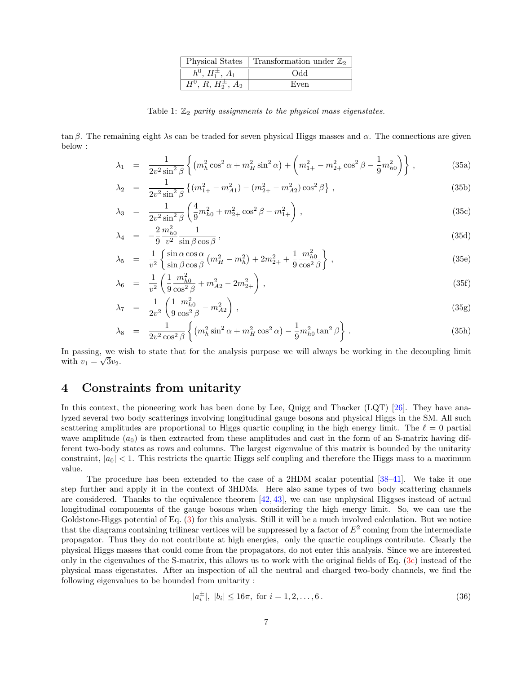|                                     | Physical States   Transformation under $\mathbb{Z}_2$ |
|-------------------------------------|-------------------------------------------------------|
| $h^0, H_1^{\pm}, A_1$               | <b>Odd</b>                                            |
| $\overline{H^0, R, H_2^{\pm}, A_2}$ | Even                                                  |

Table 1:  $\mathbb{Z}_2$  parity assignments to the physical mass eigenstates.

tan β. The remaining eight  $\lambda$ s can be traded for seven physical Higgs masses and  $\alpha$ . The connections are given below :

$$
\lambda_1 = \frac{1}{2v^2 \sin^2 \beta} \left\{ (m_h^2 \cos^2 \alpha + m_H^2 \sin^2 \alpha) + \left( m_{1+}^2 - m_{2+}^2 \cos^2 \beta - \frac{1}{9} m_{h0}^2 \right) \right\},
$$
(35a)

$$
\lambda_2 = \frac{1}{2v^2 \sin^2 \beta} \left\{ (m_{1+}^2 - m_{A1}^2) - (m_{2+}^2 - m_{A2}^2) \cos^2 \beta \right\},\tag{35b}
$$

$$
\lambda_3 = \frac{1}{2v^2 \sin^2 \beta} \left( \frac{4}{9} m_{h0}^2 + m_{2+}^2 \cos^2 \beta - m_{1+}^2 \right), \tag{35c}
$$

$$
\lambda_4 = -\frac{2}{9} \frac{m_{h0}^2}{v^2} \frac{1}{\sin \beta \cos \beta},\tag{35d}
$$

$$
\lambda_5 = \frac{1}{v^2} \left\{ \frac{\sin \alpha \cos \alpha}{\sin \beta \cos \beta} \left( m_H^2 - m_h^2 \right) + 2m_{2+}^2 + \frac{1}{9} \frac{m_{h0}^2}{\cos^2 \beta} \right\},\tag{35e}
$$

$$
\lambda_6 = \frac{1}{v^2} \left( \frac{1}{9} \frac{m_{h0}^2}{\cos^2 \beta} + m_{A2}^2 - 2m_{2+}^2 \right),\tag{35f}
$$

$$
\lambda_7 = \frac{1}{2v^2} \left( \frac{1}{9} \frac{m_{h0}^2}{\cos^2 \beta} - m_{A2}^2 \right), \tag{35g}
$$

$$
\lambda_8 = \frac{1}{2v^2 \cos^2 \beta} \left\{ (m_h^2 \sin^2 \alpha + m_H^2 \cos^2 \alpha) - \frac{1}{9} m_{h0}^2 \tan^2 \beta \right\}.
$$
 (35h)

In passing, we wish to state that for the analysis purpose we will always be working in the decoupling limit with  $v_1 = \sqrt{3}v_2$ .

#### 4 Constraints from unitarity

In this context, the pioneering work has been done by Lee, Quigg and Thacker (LQT) [26]. They have analyzed several two body scatterings involving longitudinal gauge bosons and physical Higgs in the SM. All such scattering amplitudes are proportional to Higgs quartic coupling in the high energy limit. The  $\ell = 0$  partial wave amplitude  $(a_0)$  is then extracted from these amplitudes and cast in the form of an S-matrix having different two-body states as rows and columns. The largest eigenvalue of this matrix is bounded by the unitarity constraint,  $|a_0| < 1$ . This restricts the quartic Higgs self coupling and therefore the Higgs mass to a maximum value.

The procedure has been extended to the case of a 2HDM scalar potential [38–41]. We take it one step further and apply it in the context of 3HDMs. Here also same types of two body scattering channels are considered. Thanks to the equivalence theorem  $[42, 43]$ , we can use unphysical Higgses instead of actual longitudinal components of the gauge bosons when considering the high energy limit. So, we can use the Goldstone-Higgs potential of Eq. (3) for this analysis. Still it will be a much involved calculation. But we notice that the diagrams containing trilinear vertices will be suppressed by a factor of  $E^2$  coming from the intermediate propagator. Thus they do not contribute at high energies, only the quartic couplings contribute. Clearly the physical Higgs masses that could come from the propagators, do not enter this analysis. Since we are interested only in the eigenvalues of the S-matrix, this allows us to work with the original fields of Eq. (3c) instead of the physical mass eigenstates. After an inspection of all the neutral and charged two-body channels, we find the following eigenvalues to be bounded from unitarity :

$$
|a_i^{\pm}|, |b_i| \le 16\pi, \text{ for } i = 1, 2, \dots, 6. \tag{36}
$$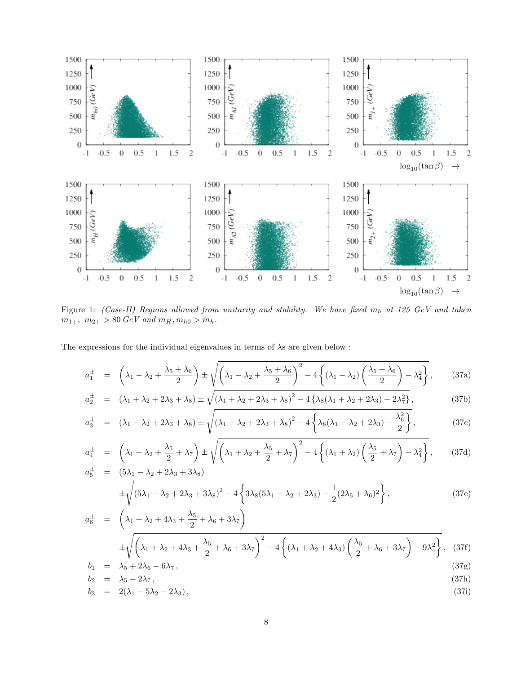

Figure 1: (Case-II) Regions allowed from unitarity and stability. We have fixed  $m_h$  at 125 GeV and taken  $m_{1+}$ ,  $m_{2+}$  > 80  $GeV$  and  $m_H, m_{h0}$  >  $m_h$ .

The expressions for the individual eigenvalues in terms of  $\lambda$ s are given below :

$$
a_1^{\pm} = \left(\lambda_1 - \lambda_2 + \frac{\lambda_5 + \lambda_6}{2}\right) \pm \sqrt{\left(\lambda_1 - \lambda_2 + \frac{\lambda_5 + \lambda_6}{2}\right)^2 - 4\left\{\left(\lambda_1 - \lambda_2\right)\left(\frac{\lambda_5 + \lambda_6}{2}\right) - \lambda_4^2\right\}},\tag{37a}
$$

$$
a_2^{\pm} = (\lambda_1 + \lambda_2 + 2\lambda_3 + \lambda_8) \pm \sqrt{(\lambda_1 + \lambda_2 + 2\lambda_3 + \lambda_8)^2 - 4\{\lambda_8(\lambda_1 + \lambda_2 + 2\lambda_3) - 2\lambda_7^2\}},
$$
\n(37b)

$$
a_3^{\pm} = (\lambda_1 - \lambda_2 + 2\lambda_3 + \lambda_8) \pm \sqrt{(\lambda_1 - \lambda_2 + 2\lambda_3 + \lambda_8)^2 - 4\left\{\lambda_8(\lambda_1 - \lambda_2 + 2\lambda_3) - \frac{\lambda_6^2}{2}\right\}},
$$
\n(37c)

$$
a_4^{\pm} = \left(\lambda_1 + \lambda_2 + \frac{\lambda_5}{2} + \lambda_7\right) \pm \sqrt{\left(\lambda_1 + \lambda_2 + \frac{\lambda_5}{2} + \lambda_7\right)^2 - 4\left\{\left(\lambda_1 + \lambda_2\right)\left(\frac{\lambda_5}{2} + \lambda_7\right) - \lambda_4^2\right\}},\qquad(37d)
$$
  

$$
a_5^{\pm} = (5\lambda_1 - \lambda_2 + 2\lambda_3 + 3\lambda_8)
$$

$$
\pm \sqrt{\left(5\lambda_1 - \lambda_2 + 2\lambda_3 + 3\lambda_8\right)^2 - 4\left\{3\lambda_8(5\lambda_1 - \lambda_2 + 2\lambda_3) - \frac{1}{2}(2\lambda_5 + \lambda_6)^2\right\}},\tag{37e}
$$

$$
a_6^{\pm} = \left(\lambda_1 + \lambda_2 + 4\lambda_3 + \frac{\lambda_5}{2} + \lambda_6 + 3\lambda_7\right)
$$
  
\n
$$
\pm \sqrt{\left(\lambda_1 + \lambda_2 + 4\lambda_3 + \frac{\lambda_5}{2} + \lambda_6 + 3\lambda_7\right)^2 - 4\left\{(\lambda_1 + \lambda_2 + 4\lambda_3)\left(\frac{\lambda_5}{2} + \lambda_6 + 3\lambda_7\right) - 9\lambda_4^2\right\}},
$$
 (37f)  
\n
$$
b_1 = \lambda_5 + 2\lambda_6 - 6\lambda_7,
$$
 (37g)

$$
b_2 = \lambda_5 - 2\lambda_7, \tag{37h}
$$

$$
b_3 = 2(\lambda_1 - 5\lambda_2 - 2\lambda_3), \tag{37}
$$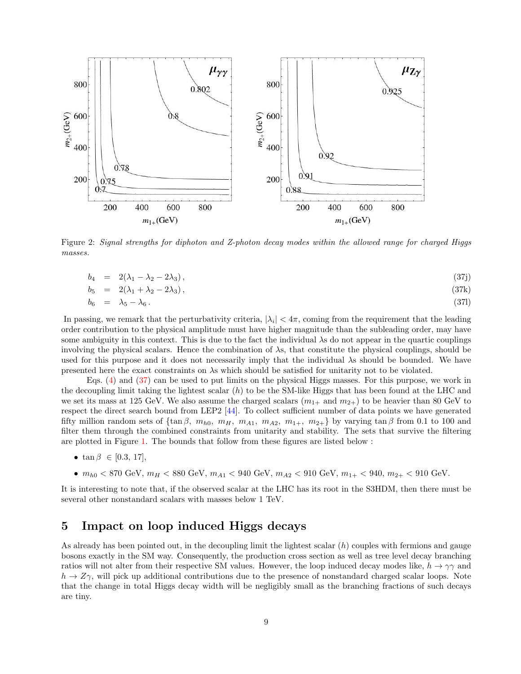

Figure 2: Signal strengths for diphoton and Z-photon decay modes within the allowed range for charged Higgs masses.

$$
b_4 = 2(\lambda_1 - \lambda_2 - 2\lambda_3), \tag{37}
$$

$$
b_5 = 2(\lambda_1 + \lambda_2 - 2\lambda_3), \qquad (37k)
$$

$$
b_6 = \lambda_5 - \lambda_6. \tag{371}
$$

In passing, we remark that the perturbativity criteria,  $|\lambda_i| < 4\pi$ , coming from the requirement that the leading order contribution to the physical amplitude must have higher magnitude than the subleading order, may have some ambiguity in this context. This is due to the fact the individual λs do not appear in the quartic couplings involving the physical scalars. Hence the combination of λs, that constitute the physical couplings, should be used for this purpose and it does not necessarily imply that the individual λs should be bounded. We have presented here the exact constraints on λs which should be satisfied for unitarity not to be violated.

Eqs. (4) and (37) can be used to put limits on the physical Higgs masses. For this purpose, we work in the decoupling limit taking the lightest scalar (h) to be the SM-like Higgs that has been found at the LHC and we set its mass at 125 GeV. We also assume the charged scalars  $(m_{1+}$  and  $m_{2+})$  to be heavier than 80 GeV to respect the direct search bound from LEP2 [44]. To collect sufficient number of data points we have generated fifty million random sets of  $\{\tan \beta, m_{h0}, m_H, m_{A1}, m_{A2}, m_{1+}, m_{2+}\}\$  by varying  $\tan \beta$  from 0.1 to 100 and filter them through the combined constraints from unitarity and stability. The sets that survive the filtering are plotted in Figure 1. The bounds that follow from these figures are listed below :

- $\tan \beta \in [0.3, 17]$ ,
- $m_{h0}$  < 870 GeV,  $m_H$  < 880 GeV,  $m_{A1}$  < 940 GeV,  $m_{A2}$  < 910 GeV,  $m_{1+}$  < 940,  $m_{2+}$  < 910 GeV.

It is interesting to note that, if the observed scalar at the LHC has its root in the S3HDM, then there must be several other nonstandard scalars with masses below 1 TeV.

#### 5 Impact on loop induced Higgs decays

As already has been pointed out, in the decoupling limit the lightest scalar  $(h)$  couples with fermions and gauge bosons exactly in the SM way. Consequently, the production cross section as well as tree level decay branching ratios will not alter from their respective SM values. However, the loop induced decay modes like,  $h \to \gamma\gamma$  and  $h \to Z\gamma$ , will pick up additional contributions due to the presence of nonstandard charged scalar loops. Note that the change in total Higgs decay width will be negligibly small as the branching fractions of such decays are tiny.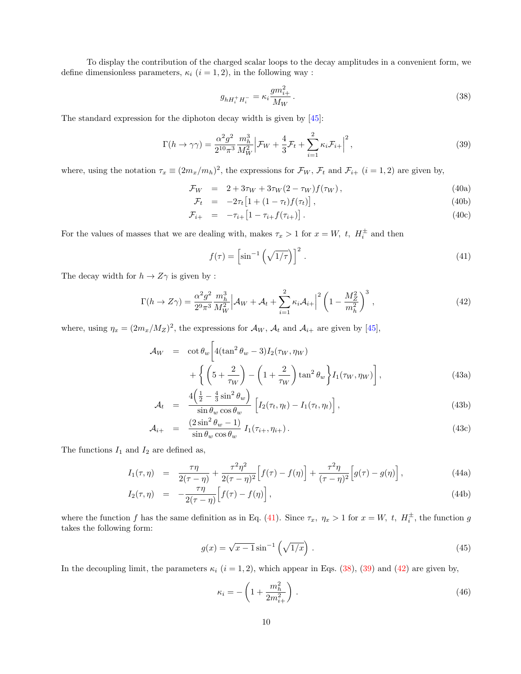To display the contribution of the charged scalar loops to the decay amplitudes in a convenient form, we define dimensionless parameters,  $\kappa_i$   $(i = 1, 2)$ , in the following way :

$$
g_{hH_i^+H_i^-} = \kappa_i \frac{gm_{i+}^2}{M_W} \,. \tag{38}
$$

The standard expression for the diphoton decay width is given by [45]:

$$
\Gamma(h \to \gamma \gamma) = \frac{\alpha^2 g^2}{2^{10} \pi^3} \frac{m_h^3}{M_W^2} \Big| \mathcal{F}_W + \frac{4}{3} \mathcal{F}_t + \sum_{i=1}^2 \kappa_i \mathcal{F}_{i+} \Big|^2, \tag{39}
$$

where, using the notation  $\tau_x \equiv (2m_x/m_h)^2$ , the expressions for  $\mathcal{F}_W$ ,  $\mathcal{F}_t$  and  $\mathcal{F}_{i+}$   $(i = 1, 2)$  are given by,

$$
\mathcal{F}_W = 2 + 3\tau_W + 3\tau_W (2 - \tau_W) f(\tau_W), \qquad (40a)
$$

$$
\mathcal{F}_t = -2\tau_t \left[ 1 + (1 - \tau_t) f(\tau_t) \right], \tag{40b}
$$

$$
\mathcal{F}_{i+} = -\tau_{i+} \left[ 1 - \tau_{i+} f(\tau_{i+}) \right]. \tag{40c}
$$

For the values of masses that we are dealing with, makes  $\tau_x > 1$  for  $x = W$ , t,  $H_i^{\pm}$  and then

$$
f(\tau) = \left[\sin^{-1}\left(\sqrt{1/\tau}\right)\right]^2. \tag{41}
$$

The decay width for  $h\to Z\gamma$  is given by :

$$
\Gamma(h \to Z\gamma) = \frac{\alpha^2 g^2}{2^9 \pi^3} \frac{m_h^3}{M_W^2} \Big| \mathcal{A}_W + \mathcal{A}_t + \sum_{i=1}^2 \kappa_i \mathcal{A}_{i+} \Big|^2 \left(1 - \frac{M_Z^2}{m_h^2}\right)^3 \,,\tag{42}
$$

where, using  $\eta_x = (2m_x/M_Z)^2$ , the expressions for  $\mathcal{A}_W$ ,  $\mathcal{A}_t$  and  $\mathcal{A}_{i+}$  are given by [45],

$$
\mathcal{A}_W = \cot \theta_w \left[ 4(\tan^2 \theta_w - 3) I_2(\tau_W, \eta_W) + \left\{ \left( 5 + \frac{2}{\tau_W} \right) - \left( 1 + \frac{2}{\tau_W} \right) \tan^2 \theta_w \right\} I_1(\tau_W, \eta_W) \right],
$$
\n(43a)

$$
\mathcal{A}_t = \frac{4\left(\frac{1}{2} - \frac{4}{3}\sin^2\theta_w\right)}{\sin\theta_w \cos\theta_w} \left[I_2(\tau_t, \eta_t) - I_1(\tau_t, \eta_t)\right],\tag{43b}
$$

$$
\mathcal{A}_{i+} = \frac{(2\sin^2\theta_w - 1)}{\sin\theta_w \cos\theta_w} I_1(\tau_{i+}, \eta_{i+}). \tag{43c}
$$

The functions  $I_1$  and  $I_2$  are defined as,

$$
I_1(\tau, \eta) = \frac{\tau \eta}{2(\tau - \eta)} + \frac{\tau^2 \eta^2}{2(\tau - \eta)^2} \Big[ f(\tau) - f(\eta) \Big] + \frac{\tau^2 \eta}{(\tau - \eta)^2} \Big[ g(\tau) - g(\eta) \Big], \tag{44a}
$$

$$
I_2(\tau,\eta) = -\frac{\tau\eta}{2(\tau-\eta)} \Big[ f(\tau) - f(\eta) \Big], \tag{44b}
$$

where the function f has the same definition as in Eq. (41). Since  $\tau_x$ ,  $\eta_x > 1$  for  $x = W$ ,  $t$ ,  $H_i^{\pm}$ , the function g takes the following form:

$$
g(x) = \sqrt{x-1}\sin^{-1}\left(\sqrt{1/x}\right). \tag{45}
$$

In the decoupling limit, the parameters  $\kappa_i$  ( $i = 1, 2$ ), which appear in Eqs. (38), (39) and (42) are given by,

$$
\kappa_i = -\left(1 + \frac{m_h^2}{2m_{i+}^2}\right). \tag{46}
$$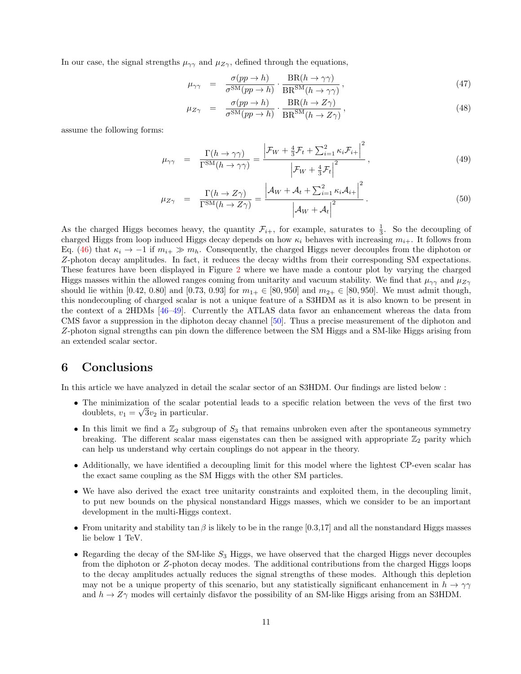In our case, the signal strengths  $\mu_{\gamma\gamma}$  and  $\mu_{Z\gamma}$ , defined through the equations,

$$
\mu_{\gamma\gamma} = \frac{\sigma(pp \to h)}{\sigma^{\text{SM}}(pp \to h)} \cdot \frac{\text{BR}(h \to \gamma\gamma)}{\text{BR}^{\text{SM}}(h \to \gamma\gamma)},\tag{47}
$$

$$
\mu_{Z\gamma} = \frac{\sigma(pp \to h)}{\sigma^{SM}(pp \to h)} \cdot \frac{\text{BR}(h \to Z\gamma)}{\text{BR}^{SM}(h \to Z\gamma)},\tag{48}
$$

assume the following forms:

$$
\mu_{\gamma\gamma} = \frac{\Gamma(h \to \gamma\gamma)}{\Gamma^{\text{SM}}(h \to \gamma\gamma)} = \frac{\left|\mathcal{F}_W + \frac{4}{3}\mathcal{F}_t + \sum_{i=1}^2 \kappa_i \mathcal{F}_{i+}\right|^2}{\left|\mathcal{F}_W + \frac{4}{3}\mathcal{F}_t\right|^2},\tag{49}
$$

$$
\mu_{Z\gamma} = \frac{\Gamma(h \to Z\gamma)}{\Gamma^{\text{SM}}(h \to Z\gamma)} = \frac{\left| \mathcal{A}_W + \mathcal{A}_t + \sum_{i=1}^2 \kappa_i \mathcal{A}_{i+} \right|^2}{\left| \mathcal{A}_W + \mathcal{A}_t \right|^2}.
$$
\n(50)

As the charged Higgs becomes heavy, the quantity  $\mathcal{F}_{i+}$ , for example, saturates to  $\frac{1}{3}$ . So the decoupling of charged Higgs from loop induced Higgs decay depends on how  $\kappa_i$  behaves with increasing  $m_{i+}$ . It follows from Eq. (46) that  $\kappa_i \to -1$  if  $m_{i+} \gg m_h$ . Consequently, the charged Higgs never decouples from the diphoton or Z-photon decay amplitudes. In fact, it reduces the decay widths from their corresponding SM expectations. These features have been displayed in Figure 2 where we have made a contour plot by varying the charged Higgs masses within the allowed ranges coming from unitarity and vacuum stability. We find that  $\mu_{\gamma\gamma}$  and  $\mu_{Z\gamma}$ should lie within [0.42, 0.80] and [0.73, 0.93] for  $m_{1+} \in [80, 950]$  and  $m_{2+} \in [80, 950]$ . We must admit though, this nondecoupling of charged scalar is not a unique feature of a S3HDM as it is also known to be present in the context of a 2HDMs [46–49]. Currently the ATLAS data favor an enhancement whereas the data from CMS favor a suppression in the diphoton decay channel [50]. Thus a precise measurement of the diphoton and Z-photon signal strengths can pin down the difference between the SM Higgs and a SM-like Higgs arising from an extended scalar sector.

#### 6 Conclusions

In this article we have analyzed in detail the scalar sector of an S3HDM. Our findings are listed below :

- The minimization of the scalar potential leads to a specific relation between the vevs of the first two doublets,  $v_1 = \sqrt{3}v_2$  in particular.
- In this limit we find a  $\mathbb{Z}_2$  subgroup of  $S_3$  that remains unbroken even after the spontaneous symmetry breaking. The different scalar mass eigenstates can then be assigned with appropriate  $\mathbb{Z}_2$  parity which can help us understand why certain couplings do not appear in the theory.
- Additionally, we have identified a decoupling limit for this model where the lightest CP-even scalar has the exact same coupling as the SM Higgs with the other SM particles.
- We have also derived the exact tree unitarity constraints and exploited them, in the decoupling limit, to put new bounds on the physical nonstandard Higgs masses, which we consider to be an important development in the multi-Higgs context.
- From unitarity and stability tan  $\beta$  is likely to be in the range [0.3,17] and all the nonstandard Higgs masses lie below 1 TeV.
- Regarding the decay of the SM-like  $S_3$  Higgs, we have observed that the charged Higgs never decouples from the diphoton or Z-photon decay modes. The additional contributions from the charged Higgs loops to the decay amplitudes actually reduces the signal strengths of these modes. Although this depletion may not be a unique property of this scenario, but any statistically significant enhancement in  $h \to \gamma\gamma$ and  $h \to Z\gamma$  modes will certainly disfavor the possibility of an SM-like Higgs arising from an S3HDM.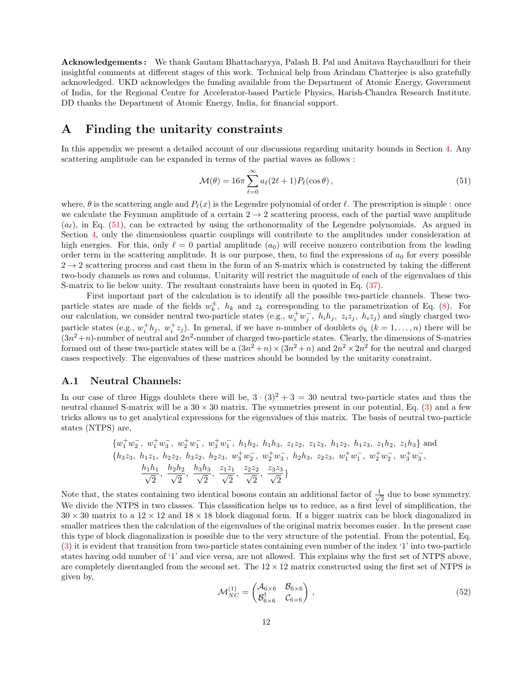Acknowledgements : We thank Gautam Bhattacharyya, Palash B. Pal and Amitava Raychaudhuri for their insightful comments at different stages of this work. Technical help from Arindam Chatterjee is also gratefully acknowledged. UKD acknowledges the funding available from the Department of Atomic Energy, Government of India, for the Regional Centre for Accelerator-based Particle Physics, Harish-Chandra Research Institute. DD thanks the Department of Atomic Energy, India, for financial support.

#### A Finding the unitarity constraints

In this appendix we present a detailed account of our discussions regarding unitarity bounds in Section 4. Any scattering amplitude can be expanded in terms of the partial waves as follows :

$$
\mathcal{M}(\theta) = 16\pi \sum_{\ell=0}^{\infty} a_{\ell} (2\ell+1) P_{\ell}(\cos\theta), \qquad (51)
$$

where,  $\theta$  is the scattering angle and  $P_{\ell}(x)$  is the Legendre polynomial of order  $\ell$ . The prescription is simple : once we calculate the Feynman amplitude of a certain  $2 \rightarrow 2$  scattering process, each of the partial wave amplitude  $(a_{\ell})$ , in Eq. (51), can be extracted by using the orthonormality of the Legendre polynomials. As argued in Section 4, only the dimensionless quartic couplings will contribute to the amplitudes under consideration at high energies. For this, only  $\ell = 0$  partial amplitude  $(a_0)$  will receive nonzero contribution from the leading order term in the scattering amplitude. It is our purpose, then, to find the expressions of  $a_0$  for every possible  $2 \rightarrow 2$  scattering process and cast them in the form of an S-matrix which is constructed by taking the different two-body channels as rows and columns. Unitarity will restrict the magnitude of each of the eigenvalues of this S-matrix to lie below unity. The resultant constraints have been in quoted in Eq. (37).

First important part of the calculation is to identify all the possible two-particle channels. These twoparticle states are made of the fields  $w_k^{\pm}$ ,  $h_k$  and  $z_k$  corresponding to the parametrization of Eq. (8). For our calculation, we consider neutral two-particle states (e.g.,  $w_i^+ w_j^-$ ,  $h_i h_j$ ,  $z_i z_j$ ,  $h_i z_j$ ) and singly charged twoparticle states (e.g.,  $w_i^+ h_j$ ,  $w_i^+ z_j$ ). In general, if we have *n*-number of doublets  $\phi_k$  ( $k = 1, ..., n$ ) there will be  $(3n^2+n)$ -number of neutral and  $2n^2$ -number of charged two-particle states. Clearly, the dimensions of S-matries formed out of these two-particle states will be a  $(3n^2 + n) \times (3n^2 + n)$  and  $2n^2 \times 2n^2$  for the neutral and charged cases respectively. The eigenvalues of these matrices should be bounded by the unitarity constraint.

#### A.1 Neutral Channels:

In our case of three Higgs doublets there will be,  $3 \cdot (3)^2 + 3 = 30$  neutral two-particle states and thus the neutral channel S-matrix will be a  $30 \times 30$  matrix. The symmetries present in our potential, Eq. (3) and a few tricks allows us to get analytical expressions for the eigenvalues of this matrix. The basis of neutral two-particle states (NTPS) are,

$$
\{w_1^+ w_2^-, w_1^+ w_3^-, w_2^+ w_1^-, w_3^+ w_1^-, h_1 h_2, h_1 h_3, z_1 z_2, z_1 z_3, h_1 z_2, h_1 z_3, z_1 h_2, z_1 h_3\}
$$
and  

$$
\{h_3 z_3, h_1 z_1, h_2 z_2, h_3 z_2, h_2 z_3, w_3^+ w_2^-, w_2^+ w_3^-, h_2 h_3, z_2 z_3, w_1^+ w_1^-, w_2^+ w_2^-, w_3^+ w_3^-,
$$
  

$$
\frac{h_1 h_1}{\sqrt{2}}, \frac{h_2 h_2}{\sqrt{2}}, \frac{h_3 h_3}{\sqrt{2}}, \frac{z_1 z_1}{\sqrt{2}}, \frac{z_2 z_2}{\sqrt{2}}, \frac{z_3 z_3}{\sqrt{2}}\}
$$

Note that, the states containing two identical bosons contain an additional factor of  $\frac{1}{\sqrt{2}}$  $\frac{1}{2}$  due to bose symmetry. We divide the NTPS in two classes. This classification helps us to reduce, as a first level of simplification, the  $30 \times 30$  matrix to a  $12 \times 12$  and  $18 \times 18$  block diagonal form. If a bigger matrix can be block diagonalized in smaller matrices then the calculation of the eigenvalues of the original matrix becomes easier. In the present case this type of block diagonalization is possible due to the very structure of the potential. From the potential, Eq. (3) it is evident that transition from two-particle states containing even number of the index '1' into two-particle states having odd number of '1' and vice versa, are not allowed. This explains why the first set of NTPS above, are completely disentangled from the second set. The  $12 \times 12$  matrix constructed using the first set of NTPS is given by,

$$
\mathcal{M}_{NC}^{(1)} = \begin{pmatrix} \mathcal{A}_{6 \times 6} & \mathcal{B}_{6 \times 6} \\ \mathcal{B}_{6 \times 6}^{\dagger} & \mathcal{C}_{6 \times 6} \end{pmatrix},\tag{52}
$$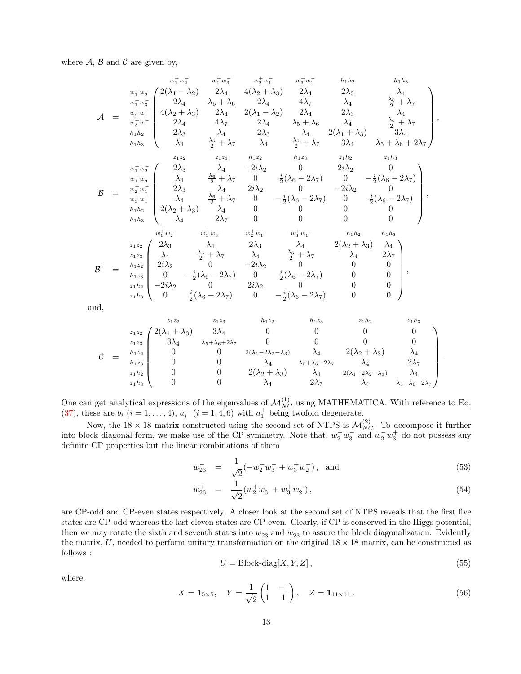where  $A$ ,  $B$  and  $C$  are given by,

$$
w_1^+ w_2^-
$$
\n
$$
w_1^+ w_3^-
$$
\n
$$
w_2^+ w_3^-
$$
\n
$$
w_2^+ w_4^-
$$
\n
$$
w_1^+ w_3^-
$$
\n
$$
w_2^+ w_1^-
$$
\n
$$
w_2^+ w_1^-
$$
\n
$$
w_2^+ w_1^-
$$
\n
$$
w_2^+ w_1^-
$$
\n
$$
w_2^+ w_1^-
$$
\n
$$
w_2^+ w_1^-
$$
\n
$$
w_2^+ w_1^-
$$
\n
$$
w_2^+ w_1^-
$$
\n
$$
w_2^+ w_1^-
$$
\n
$$
w_2^+ w_1^-
$$
\n
$$
w_2^+ w_1^-
$$
\n
$$
w_2^+ w_1^-
$$
\n
$$
w_2^+ w_1^-
$$
\n
$$
w_2^+ w_1^-
$$
\n
$$
w_2^+ w_1^-
$$
\n
$$
w_2^+ w_1^-
$$
\n
$$
w_2^+ w_1^-
$$
\n
$$
w_2^+ w_1^-
$$
\n
$$
w_2^+ w_1^-
$$
\n
$$
w_2^+ w_1^-
$$
\n
$$
w_2^+ w_1^-
$$
\n
$$
w_2^+ w_1^-
$$
\n
$$
w_2^+ w_1^-
$$
\n
$$
w_2^+ w_1^-
$$
\n
$$
w_2^+ w_1^-
$$
\n
$$
w_2^+ w_1^-
$$
\n
$$
w_2^+ w_1^-
$$
\n
$$
w_2^+ w_1^-
$$
\n
$$
w_2^+ w_1^-
$$
\n
$$
w_2^+ w_1^-
$$
\n
$$
w_2^+ w_1^-
$$
\n
$$
w_2^+ w_1^-
$$
\n
$$
w_2^+ w_1^-
$$
\n
$$
w_2^+ w_1^-
$$
\n
$$
w_2^+ w_1^-
$$
\n<math display="block</math>

and,

$$
\mathcal{C} = \begin{array}{c c c c c c c c} & z_1 z_2 & z_1 z_3 & h_1 z_2 & h_1 z_3 & z_1 h_2 & z_1 h_3 \\ z_1 z_2 & 2(\lambda_1 + \lambda_3) & 3\lambda_4 & 0 & 0 & 0 & 0 \\ z_1 z_3 & 3\lambda_4 & \lambda_5 + \lambda_6 + 2\lambda_7 & 0 & 0 & 0 & 0 \\ 0 & 0 & 2(\lambda_1 - 2\lambda_2 - \lambda_3) & \lambda_4 & 2(\lambda_2 + \lambda_3) & \lambda_4 \\ h_1 z_3 & 0 & 0 & \lambda_4 & \lambda_5 + \lambda_6 - 2\lambda_7 & \lambda_4 & 2\lambda_7 \\ z_1 h_2 & 0 & 0 & 2(\lambda_2 + \lambda_3) & \lambda_4 & 2(\lambda_1 - 2\lambda_2 - \lambda_3) & \lambda_4 \\ z_1 h_3 & 0 & 0 & \lambda_4 & 2\lambda_7 & \lambda_4 & \lambda_5 + \lambda_6 - 2\lambda_7 \end{array}.
$$

One can get analytical expressions of the eigenvalues of  $\mathcal{M}_{NC}^{(1)}$  using MATHEMATICA. With reference to Eq. (37), these are  $b_i$   $(i = 1, ..., 4)$ ,  $a_i^{\pm}$   $(i = 1, 4, 6)$  with  $a_1^{\pm}$  being twofold degenerate.

Now, the 18  $\times$  18 matrix constructed using the second set of NTPS is  $\mathcal{M}_{NC}^{(2)}$ . To decompose it further into block diagonal form, we make use of the CP symmetry. Note that,  $w_2^+ w_3^-$  and  $w_2^- w_3^+$  do not possess any definite CP properties but the linear combinations of them

$$
w_{23}^- = \frac{1}{\sqrt{2}}(-w_2^+ w_3^- + w_3^+ w_2^-), \text{ and } (53)
$$

$$
w_{23}^+ = \frac{1}{\sqrt{2}} (w_2^+ w_3^- + w_3^+ w_2^-), \qquad (54)
$$

are CP-odd and CP-even states respectively. A closer look at the second set of NTPS reveals that the first five states are CP-odd whereas the last eleven states are CP-even. Clearly, if CP is conserved in the Higgs potential, then we may rotate the sixth and seventh states into  $w_{23}^-$  and  $w_{23}^+$  to assure the block diagonalization. Evidently the matrix,  $U$ , needed to perform unitary transformation on the original  $18 \times 18$  matrix, can be constructed as follows :

$$
U = \text{Block-diag}[X, Y, Z],\tag{55}
$$

where,

$$
X = \mathbf{1}_{5 \times 5}, \quad Y = \frac{1}{\sqrt{2}} \begin{pmatrix} 1 & -1 \\ 1 & 1 \end{pmatrix}, \quad Z = \mathbf{1}_{11 \times 11}.
$$
 (56)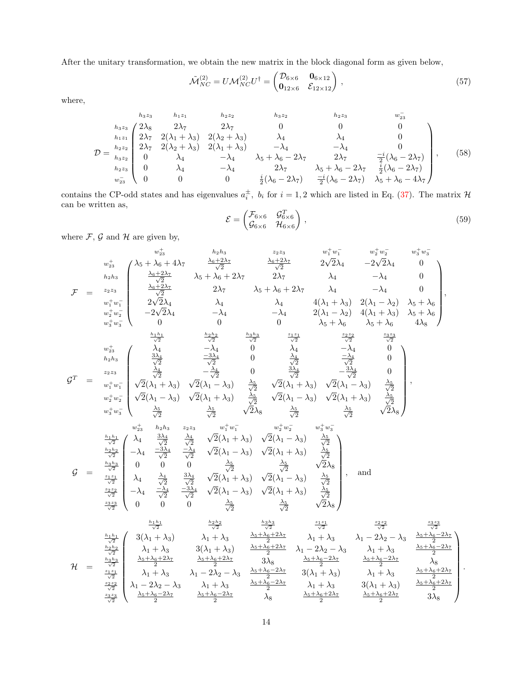After the unitary transformation, we obtain the new matrix in the block diagonal form as given below,

$$
\tilde{\mathcal{M}}_{NC}^{(2)} = U \mathcal{M}_{NC}^{(2)} U^{\dagger} = \begin{pmatrix} \mathcal{D}_{6 \times 6} & \mathbf{0}_{6 \times 12} \\ \mathbf{0}_{12 \times 6} & \mathcal{E}_{12 \times 12} \end{pmatrix},\tag{57}
$$

where,

$$
D = \begin{matrix}\nh_{3}z_{3} & h_{1}z_{1} & h_{2}z_{2} & h_{3}z_{2} & h_{2}z_{3} & w_{2}z_{3} \\
h_{3}z_{3} & 2\lambda_{5} & 2\lambda_{7} & 2\lambda_{7} & 0 & 0 & 0 \\
h_{1}z_{1} & 2\lambda_{7} & 2(\lambda_{1} + \lambda_{3}) & 2(\lambda_{2} + \lambda_{3}) & \lambda_{4} & \lambda_{4} & 0 \\
2\lambda_{7} & 2(\lambda_{2} + \lambda_{3}) & 2(\lambda_{1} + \lambda_{3}) & -\lambda_{4} & -\lambda_{4} & 0 \\
0 & \lambda_{4} & -\lambda_{4} & \lambda_{5} + \lambda_{6} - 2\lambda_{7} & 2\lambda_{7} & \frac{-i}{2}(\lambda_{6} - 2\lambda_{7}) \\
h_{2}z_{3} & 0 & \lambda_{4} & -\lambda_{4} & 2\lambda_{7} & \lambda_{5} + \lambda_{6} - 2\lambda_{7} & \frac{i}{2}(\lambda_{6} - 2\lambda_{7}) \\
w_{2}z_{3} & 0 & 0 & 0 & \frac{i}{2}(\lambda_{6} - 2\lambda_{7}) & \frac{-i}{2}(\lambda_{6} - 2\lambda_{7}) & \lambda_{5} + \lambda_{6} - 4\lambda_{7}\n\end{matrix}
$$
\n(58)

contains the CP-odd states and has eigenvalues  $a_i^{\pm}$ ,  $b_i$  for  $i = 1, 2$  which are listed in Eq. (37). The matrix  $\mathcal{H}$ can be written as,

$$
\mathcal{E} = \begin{pmatrix} \mathcal{F}_{6 \times 6} & \mathcal{G}_{6 \times 6}^T \\ \mathcal{G}_{6 \times 6} & \mathcal{H}_{6 \times 6} \end{pmatrix},\tag{59}
$$

where  $\mathcal{F},\,\mathcal{G}$  and  $\mathcal{H}$  are given by,

$$
w_{23}^{+} \left( \begin{matrix} x_2^+ & h_2h_3 & h_2h_3 & h_2h_3 & z_2z_3 & w_1^+w_1^- & w_2^+w_2^- & w_3^+w_3^- \\ h_2h_3 & \frac{\lambda_6+2\lambda_7}{\sqrt{2}} & \lambda_5+\lambda_6+2\lambda_7 & 2\lambda_7 & \lambda_4 & -\lambda_4 & 0 \\ \frac{\lambda_6+2\lambda_7}{\sqrt{2}} & 2\lambda_7 & \lambda_5+\lambda_6+2\lambda_7 & \lambda_4 & -\lambda_4 & 0 \\ w_1^+w_1^- & 2\sqrt{2}\lambda_4 & \lambda_4 & \lambda_4 & 4(\lambda_1+\lambda_3) & 2(\lambda_1-\lambda_2) & \lambda_5+\lambda_6 \\ w_2^+w_2^- & -2\sqrt{2}\lambda_4 & -\lambda_4 & 2(\lambda_1-\lambda_2) & 4(\lambda_1+\lambda_3) & \lambda_5+\lambda_6 \\ w_3^+w_3^- & 0 & 0 & 0 & \lambda_5+\lambda_6 & \lambda_5+\lambda_6 & 4\lambda_8 \end{matrix} \right),
$$
  
\n
$$
w_{23}^{+} = \begin{pmatrix} x_2^+ & x_2^+ & x_2^+ & x_2^+ & x_2^+ & x_2^+ & x_2^+ \\ 2\sqrt{2}\lambda_4 & \lambda_4 & \lambda_4 & 4(\lambda_1+\lambda_3) & 2(\lambda_1-\lambda_2) & \lambda_5+\lambda_6 \\ \frac{h_1h_1}{\sqrt{2}} & \frac{\lambda_2\lambda_2}{\sqrt{2}} & \frac{\lambda_2\lambda_3}{\sqrt{2}} & \frac{\lambda_2\lambda_3}{\sqrt{2}} & \frac{\lambda_2\lambda_3}{\sqrt{2}} & \frac{\lambda_2\lambda_3}{\sqrt{2}} & \frac{\lambda_3\lambda_3}{\sqrt{2}} \\ \frac{\lambda_4\lambda_3}{\lambda_2} & \frac{\lambda_4\lambda_5}{\sqrt{2}} & -\frac{\lambda_4}{\sqrt{2}} & 0 & \frac{\lambda_4}{\sqrt{2}} & -\frac{\lambda_4}{\sqrt{2}} & 0 \\ \frac{\lambda_2\lambda_5}{\sqrt{2}} & \frac{\lambda_4\lambda_5}{\sqrt{2}} & \frac{\lambda_4\lambda_5}{\sqrt{2}} & \frac{\lambda_4\lambda_5}{\sqrt{
$$

$$
\mathcal{H} = \begin{array}{c c c c c c c c c c c} \frac{\frac{h_1 h_1}{\sqrt{2}}}{\frac{h_2 h_2}{\sqrt{2}}} & \frac{\frac{h_2 h_2}{\sqrt{2}}}{{\sqrt{2}}} & \frac{\frac{h_3 h_3}{\sqrt{2}}}{{\sqrt{2}}} & \frac{\frac{z_1 z_1}{\sqrt{2}}}{{\sqrt{2}}} & \frac{z_2 z_2}{\sqrt{2}} & \frac{z_3 z_3}{\sqrt{2}} \\ \frac{h_2 h_2}{\sqrt{2}} & \lambda_1 + \lambda_3 & \lambda_1 + \lambda_3 & \lambda_1 - 2\lambda_2 - \lambda_3 & \lambda_1 + \lambda_3 & \frac{2}{2} \\ \frac{h_2 h_2}{\sqrt{2}} & \lambda_1 + \lambda_3 & 3(\lambda_1 + \lambda_3) & \frac{\lambda_5 + \lambda_6 + 2\lambda_7}{2} & \lambda_1 - 2\lambda_2 - \lambda_3 & \lambda_1 + \lambda_3 & \frac{\lambda_5 + \lambda_6 - 2\lambda_7}{2} \\ \frac{h_3 h_3}{\sqrt{2}} & \frac{\lambda_5 + \lambda_6 + 2\lambda_7}{2} & \frac{\lambda_5 + \lambda_6 + 2\lambda_7}{2} & 3\lambda_8 & \frac{\lambda_5 + \lambda_6 - 2\lambda_7}{2} & \frac{\lambda_5 + \lambda_6 - 2\lambda_7}{2} & \lambda_8 \\ \frac{z_1 z_1}{\sqrt{2}} & \lambda_1 + \lambda_3 & \lambda_1 - 2\lambda_2 - \lambda_3 & \frac{\lambda_5 + \lambda_6 - 2\lambda_7}{2} & 3(\lambda_1 + \lambda_3) & \lambda_1 + \lambda_3 & \frac{\lambda_5 + \lambda_6 + 2\lambda_7}{2} \\ \frac{z_2 z_2}{\sqrt{2}} & \lambda_1 - 2\lambda_2 - \lambda_3 & \lambda_1 + \lambda_3 & \frac{\lambda_5 + \lambda_6 - 2\lambda_7}{2} & \lambda_1 + \lambda_3 & 3(\lambda_1 + \lambda_3) & \frac{\lambda_5 + \lambda_6 + 2\lambda_7}{2} \\ \frac{z_3 z_3}{\sqrt{2}} & \frac{\lambda_5 + \lambda_6 - 2\lambda_7}{2} & \frac{\lambda_5 + \lambda_6 - 2\lambda_7}{2} & \lambda_8 & \frac{\lambda_5 + \lambda_6 + 2\lambda
$$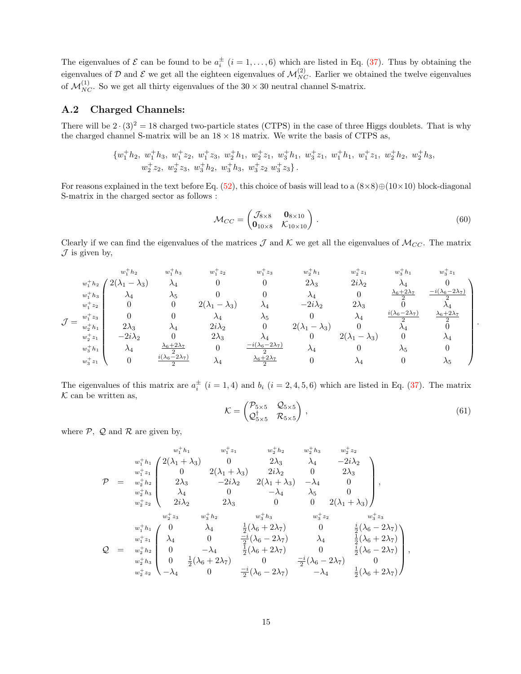The eigenvalues of  $\mathcal E$  can be found to be  $a_i^{\pm}$   $(i = 1, \ldots, 6)$  which are listed in Eq. (37). Thus by obtaining the eigenvalues of D and E we get all the eighteen eigenvalues of  $\mathcal{M}_{NC}^{(2)}$ . Earlier we obtained the twelve eigenvalues of  $\mathcal{M}_{NC}^{(1)}$ . So we get all thirty eigenvalues of the 30  $\times$  30 neutral channel S-matrix.

#### A.2 Charged Channels:

There will be  $2 \cdot (3)^2 = 18$  charged two-particle states (CTPS) in the case of three Higgs doublets. That is why the charged channel S-matrix will be an  $18 \times 18$  matrix. We write the basis of CTPS as,

$$
\{w_1^+h_2,\; w_1^+h_3,\; w_1^+z_2,\; w_1^+z_3,\; w_2^+h_1,\; w_2^+z_1,\; w_3^+h_1,\; w_3^+z_1,\; w_1^+h_1,\; w_1^+z_1,\; w_2^+h_2,\; w_2^+h_3,\; w_2^+z_2,\; w_2^+z_3,\; w_3^+h_2,\; w_3^+h_3,\; w_3^+z_2\; w_3^+z_3\}.
$$

For reasons explained in the text before Eq. (52), this choice of basis will lead to a  $(8\times8)\oplus(10\times10)$  block-diagonal S-matrix in the charged sector as follows :

$$
\mathcal{M}_{CC} = \begin{pmatrix} \mathcal{J}_{8 \times 8} & \mathbf{0}_{8 \times 10} \\ \mathbf{0}_{10 \times 8} & \mathcal{K}_{10 \times 10} \end{pmatrix} . \tag{60}
$$

Clearly if we can find the eigenvalues of the matrices  $\mathcal J$  and  $\mathcal K$  we get all the eigenvalues of  $\mathcal M_{CC}$ . The matrix  $\mathcal J$  is given by,

$$
\mathcal{J} = \begin{matrix} w_1^+h_2 & w_1^+h_3 & w_1^+z_2 & w_1^+z_3 & w_2^+h_1 & w_2^+z_1 & w_3^+h_1 & w_3^+z_1 \\ w_1^+h_3 & \lambda_4 & \lambda_5 & 0 & 0 & \lambda_4 & 0 & \frac{\lambda_6+2\lambda_7}{2} & \frac{-(\lambda_6-2\lambda_7)}{2} \\ w_1^+z_2 & 0 & 0 & 2(\lambda_1-\lambda_3) & \lambda_4 & -2i\lambda_2 & 2\lambda_3 & 0 & \lambda_4 \\ w_1^+z_3 & 0 & 0 & \lambda_4 & \lambda_5 & 0 & \lambda_4 & \frac{i(\lambda_6-2\lambda_7)}{2} \\ w_2^+h_1 & 2\lambda_3 & \lambda_4 & 2i\lambda_2 & 0 & 2(\lambda_1-\lambda_3) & 0 & \lambda_4 & 0 \\ w_2^+z_1 & -2i\lambda_2 & 0 & 2\lambda_3 & \lambda_4 & 0 & 2(\lambda_1-\lambda_3) & 0 & \lambda_4 & 0 \\ w_2^+k_1 & \lambda_4 & \frac{\lambda_6+2\lambda_7}{2} & 0 & \frac{-i(\lambda_6-2\lambda_7)}{2} & \lambda_4 & 0 & \lambda_5 & 0 \\ w_3^+k_1 & \lambda_4 & \frac{\lambda_6+2\lambda_7}{2} & 0 & \frac{-i(\lambda_6-2\lambda_7)}{2} & \lambda_4 & 0 & \lambda_5 & 0 \\ w_3^+z_1 & 0 & \frac{i(\lambda_6-2\lambda_7)}{2} & \lambda_4 & \frac{\lambda_6+2\lambda_7}{2} & 0 & \lambda_4 & 0 & \lambda_5 \end{matrix}
$$

The eigenvalues of this matrix are  $a_i^{\pm}$   $(i = 1, 4)$  and  $b_i$   $(i = 2, 4, 5, 6)$  which are listed in Eq. (37). The matrix  $K$  can be written as,

$$
\mathcal{K} = \begin{pmatrix} \mathcal{P}_{5\times 5} & \mathcal{Q}_{5\times 5} \\ \mathcal{Q}_{5\times 5}^{\dagger} & \mathcal{R}_{5\times 5} \end{pmatrix},\tag{61}
$$

.

where  $P$ ,  $Q$  and  $R$  are given by,

$$
\mathcal{P} = \begin{array}{c c c c c c} w_1^+h_1 & w_1^+z_1 & w_2^+h_2 & w_2^+h_3 & w_2^+z_2 \\ w_1^+h_1 & 2(\lambda_1+\lambda_3) & 0 & 2\lambda_3 & \lambda_4 & -2i\lambda_2 \\ w_1^+z_1 & 0 & 2(\lambda_1+\lambda_3) & 2i\lambda_2 & 0 & 2\lambda_3 \\ w_2^+h_3 & \lambda_4 & 0 & -\lambda_4 & \lambda_5 & 0 \\ w_2^+k_3 & \lambda_4 & 0 & -\lambda_4 & \lambda_5 & 0 \\ w_2^+z_2 & 2i\lambda_2 & 2\lambda_3 & 0 & 0 & 2(\lambda_1+\lambda_3) \end{array},
$$
\n
$$
w_2^+z_2 & w_2^+h_2 & w_3^+h_3 & w_3^+z_2 & w_3^+z_3 \\ w_1^+h_1 & 0 & \lambda_4 & \frac{1}{2}(\lambda_6+2\lambda_7) & 0 & \frac{i}{2}(\lambda_6-2\lambda_7) \\ w_1^+z_1 & \lambda_4 & 0 & \frac{-i}{2}(\lambda_6-2\lambda_7) & \lambda_4 & \frac{1}{2}(\lambda_6+2\lambda_7) \\ w_2^+h_3 & 0 & \frac{-i}{2}(\lambda_6-2\lambda_7) & \lambda_4 & \frac{1}{2}(\lambda_6+2\lambda_7) \\ w_2^+h_3 & 0 & \frac{1}{2}(\lambda_6+2\lambda_7) & 0 & \frac{i}{2}(\lambda_6-2\lambda_7) \\ w_2^+z_2 & -\lambda_4 & 0 & \frac{-i}{2}(\lambda_6-2\lambda_7) & -\lambda_4 & \frac{1}{2}(\lambda_6+2\lambda_7) \end{array},
$$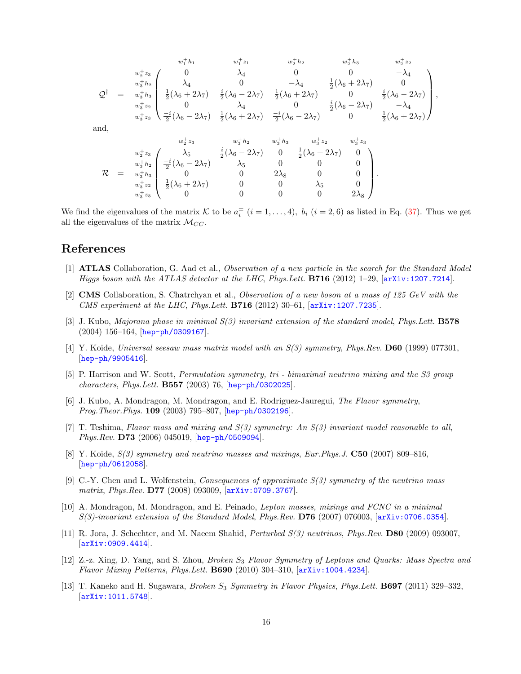$$
w_1^+h_1 \t w_1^+z_1 \t w_2^+h_2 \t w_2^+h_3 \t w_2^+z_2
$$
  
\n
$$
Q^{\dagger} = w_3^+h_3 \begin{pmatrix} 0 & \lambda_4 & 0 & 0 & -\lambda_4 \\ \lambda_4 & 0 & -\lambda_4 & \frac{1}{2}(\lambda_6 + 2\lambda_7) & 0 \\ \frac{1}{2}(\lambda_6 + 2\lambda_7) & \frac{i}{2}(\lambda_6 - 2\lambda_7) & \frac{1}{2}(\lambda_6 + 2\lambda_7) & 0 & \frac{i}{2}(\lambda_6 - 2\lambda_7) \\ \frac{1}{2}(\lambda_6 + 2\lambda_7) & \frac{i}{2}(\lambda_6 - 2\lambda_7) & \frac{1}{2}(\lambda_6 + 2\lambda_7) & 0 & \frac{i}{2}(\lambda_6 - 2\lambda_7) \\ \frac{1}{2}(\lambda_6 - 2\lambda_7) & \frac{1}{2}(\lambda_6 + 2\lambda_7) & \frac{-i}{2}(\lambda_6 - 2\lambda_7) & 0 & \frac{1}{2}(\lambda_6 + 2\lambda_7) \end{pmatrix},
$$
  
\nand,  
\n
$$
w_2^+z_3 \t w_2^+z_3 \t w_3^+h_2 \t w_3^+h_3 \t w_3^+z_2 \t w_3^+z_3
$$
  
\n
$$
w_2^+z_3 \t w_2^+k_2 \t w_3^+h_2 \t w_3^+h_3 & w_3^+z_2 & w_3^+z_3
$$
  
\n
$$
w_2^+z_3 \t w_2^+k_3 \t w_3^+h_2 \t w_3^+h_3 & 0 & 0 & 0 & 0 \newline w_3^+z_2 \t w_3^+h_3 \t w_3^+z_3 \t w_3^+ & 0 & 0 & 0 & 0 \newline w_3^+z_3 \t w_3^+z_3 \t w_3^+ & 0 & 0 & 0 & 0 & 0 \end{pmatrix}.
$$

We find the eigenvalues of the matrix K to be  $a_i^{\pm}$   $(i = 1, ..., 4)$ ,  $b_i$   $(i = 2, 6)$  as listed in Eq. (37). Thus we get all the eigenvalues of the matrix  $\mathcal{M}_{CC}$ .

## References

- [1] ATLAS Collaboration, G. Aad et al., Observation of a new particle in the search for the Standard Model Higgs boson with the ATLAS detector at the LHC, Phys.Lett. B716 (2012) 1–29, [arXiv:1207.7214].
- [2] CMS Collaboration, S. Chatrchyan et al., Observation of a new boson at a mass of 125 GeV with the CMS experiment at the LHC, Phys.Lett.  $B716$  (2012) 30–61,  $[arXiv:1207.7235]$ .
- [3] J. Kubo, Majorana phase in minimal S(3) invariant extension of the standard model, Phys.Lett. B578 (2004) 156–164, [hep-ph/0309167].
- [4] Y. Koide, Universal seesaw mass matrix model with an  $S(3)$  symmetry, Phys.Rev. **D60** (1999) 077301. [hep-ph/9905416].
- [5] P. Harrison and W. Scott, Permutation symmetry, tri bimaximal neutrino mixing and the S3 group characters, Phys.Lett. B557 (2003) 76, [hep-ph/0302025].
- [6] J. Kubo, A. Mondragon, M. Mondragon, and E. Rodriguez-Jauregui, The Flavor symmetry, Prog. Theor. Phys. 109 (2003) 795-807, [hep-ph/0302196].
- [7] T. Teshima, Flavor mass and mixing and S(3) symmetry: An S(3) invariant model reasonable to all, Phys.Rev. D73 (2006) 045019, [hep-ph/0509094].
- [8] Y. Koide,  $S(3)$  symmetry and neutrino masses and mixings, Eur.Phys.J. C50 (2007) 809–816, [hep-ph/0612058].
- [9] C.-Y. Chen and L. Wolfenstein, *Consequences of approximate*  $S(3)$  symmetry of the neutrino mass matrix, Phys.Rev. D77 (2008) 093009, [arXiv:0709.3767].
- [10] A. Mondragon, M. Mondragon, and E. Peinado, Lepton masses, mixings and FCNC in a minimal  $S(3)$ -invariant extension of the Standard Model, Phys.Rev.  $D76$  (2007) 076003,  $[axXiv:0706.0354]$ .
- [11] R. Jora, J. Schechter, and M. Naeem Shahid, Perturbed S(3) neutrinos, Phys.Rev. D80 (2009) 093007, [arXiv:0909.4414].
- [12] Z.-z. Xing, D. Yang, and S. Zhou, *Broken S<sub>3</sub> Flavor Symmetry of Leptons and Quarks: Mass Spectra and* Flavor Mixing Patterns, Phys.Lett. B690 (2010) 304–310, [arXiv:1004.4234].
- [13] T. Kaneko and H. Sugawara, *Broken S<sub>3</sub> Symmetry in Flavor Physics, Phys.Lett.* **B697** (2011) 329–332,  $\vert$ arXiv:1011.5748.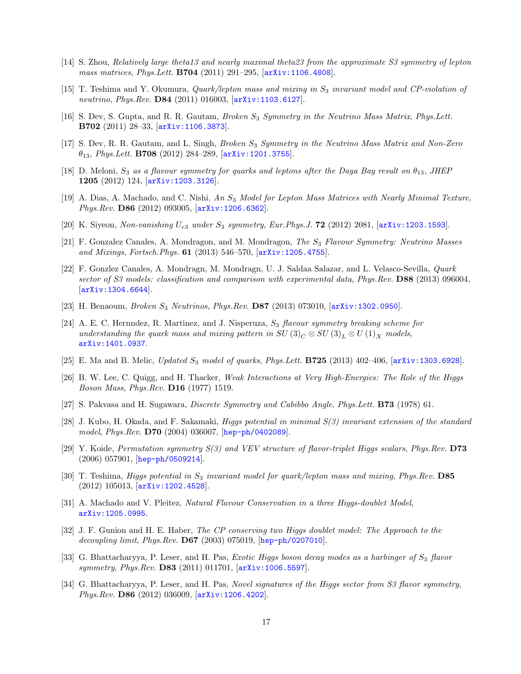- [14] S. Zhou, Relatively large theta13 and nearly maximal theta23 from the approximate S3 symmetry of lepton mass matrices, Phys.Lett. B704 (2011) 291–295, [arXiv:1106.4808].
- [15] T. Teshima and Y. Okumura, *Quark/lepton mass and mixing in*  $S_3$  *invariant model and CP-violation of* neutrino, Phys.Rev. D84 (2011) 016003,  $\ar{xiv:1103.6127}$ .
- [16] S. Dev, S. Gupta, and R. R. Gautam, Broken S<sub>3</sub> Symmetry in the Neutrino Mass Matrix, Phys. Lett. B702 (2011) 28–33, [arXiv:1106.3873].
- [17] S. Dev, R. R. Gautam, and L. Singh, *Broken S<sub>3</sub> Symmetry in the Neutrino Mass Matrix and Non-Zero*  $\theta_{13}$ , Phys.Lett. B708 (2012) 284-289, [arXiv:1201.3755].
- [18] D. Meloni,  $S_3$  as a flavour symmetry for quarks and leptons after the Daya Bay result on  $\theta_{13}$ , JHEP 1205 (2012) 124, [arXiv:1203.3126].
- [19] A. Dias, A. Machado, and C. Nishi, An  $S_3$  Model for Lepton Mass Matrices with Nearly Minimal Texture, Phys.Rev. D86 (2012) 093005, [arXiv:1206.6362].
- [20] K. Siyeon, Non-vanishing  $U_{e3}$  under  $S_3$  symmetry, Eur. Phys. J. **72** (2012) 2081, [arXiv:1203.1593].
- [21] F. Gonzalez Canales, A. Mondragon, and M. Mondragon, The S<sub>3</sub> Flavour Symmetry: Neutrino Masses and Mixings, Fortsch.Phys. 61 (2013) 546–570, [arXiv:1205.4755].
- [22] F. Gonzlez Canales, A. Mondragn, M. Mondragn, U. J. Saldaa Salazar, and L. Velasco-Sevilla, Quark sector of S3 models: classification and comparison with experimental data, Phys.Rev. D88 (2013) 096004, [arXiv:1304.6644].
- [23] H. Benaoum, *Broken S<sub>3</sub> Neutrinos, Phys.Rev.* **D87** (2013) 073010,  $[\text{arXiv}:1302.0950]$ .
- [24] A. E. C. Hernndez, R. Martinez, and J. Nisperuza,  $S_3$  flavour symmetry breaking scheme for understanding the quark mass and mixing pattern in SU  $(3)_C \otimes SU(3)_L \otimes U(1)_X$  models, arXiv:1401.0937.
- [25] E. Ma and B. Melic, Updated  $S_3$  model of quarks, Phys.Lett. **B725** (2013) 402-406,  $\left[\text{arXiv}:1303.6928\right]$ .
- [26] B. W. Lee, C. Quigg, and H. Thacker, Weak Interactions at Very High-Energies: The Role of the Higgs Boson Mass, Phys.Rev. D16 (1977) 1519.
- [27] S. Pakvasa and H. Sugawara, Discrete Symmetry and Cabibbo Angle, Phys.Lett. B73 (1978) 61.
- [28] J. Kubo, H. Okada, and F. Sakamaki, Higgs potential in minimal S(3) invariant extension of the standard model, Phys.Rev. D70 (2004) 036007, [hep-ph/0402089].
- [29] Y. Koide, Permutation symmetry S(3) and VEV structure of flavor-triplet Higgs scalars, Phys.Rev. D73 (2006) 057901, [hep-ph/0509214].
- [30] T. Teshima, Higgs potential in  $S_3$  invariant model for quark/lepton mass and mixing, Phys.Rev. D85 (2012) 105013, [arXiv:1202.4528].
- [31] A. Machado and V. Pleitez, Natural Flavour Conservation in a three Higgs-doublet Model, arXiv:1205.0995.
- [32] J. F. Gunion and H. E. Haber, The CP conserving two Higgs doublet model: The Approach to the decoupling limit, Phys.Rev.  $D67$  (2003) 075019,  $[hep-ph/0207010]$ .
- [33] G. Bhattacharyya, P. Leser, and H. Pas, Exotic Higgs boson decay modes as a harbinger of  $S_3$  flavor symmetry, Phys.Rev. D83 (2011) 011701,  $[ary:1006.5597]$ .
- [34] G. Bhattacharyya, P. Leser, and H. Pas, Novel signatures of the Higgs sector from S3 flavor symmetry, Phys.Rev. D86 (2012) 036009, [arXiv:1206.4202].